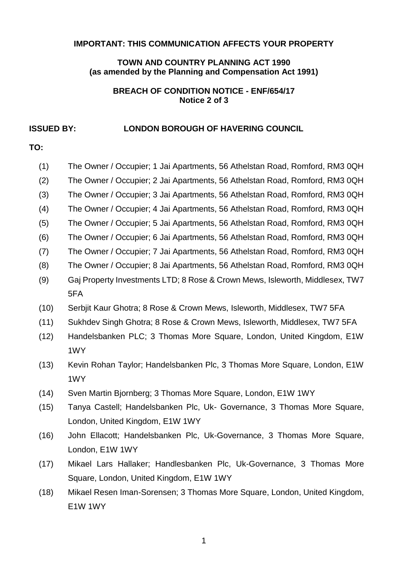#### **IMPORTANT: THIS COMMUNICATION AFFECTS YOUR PROPERTY**

#### **TOWN AND COUNTRY PLANNING ACT 1990 (as amended by the Planning and Compensation Act 1991)**

#### **BREACH OF CONDITION NOTICE - ENF/654/17 Notice 2 of 3**

#### **ISSUED BY: LONDON BOROUGH OF HAVERING COUNCIL**

# **TO:**

| (1)  | The Owner / Occupier; 1 Jai Apartments, 56 Athelstan Road, Romford, RM3 0QH  |  |
|------|------------------------------------------------------------------------------|--|
| (2)  | The Owner / Occupier; 2 Jai Apartments, 56 Athelstan Road, Romford, RM3 0QH  |  |
| (3)  | The Owner / Occupier; 3 Jai Apartments, 56 Athelstan Road, Romford, RM3 0QH  |  |
| (4)  | The Owner / Occupier; 4 Jai Apartments, 56 Athelstan Road, Romford, RM3 0QH  |  |
| (5)  | The Owner / Occupier; 5 Jai Apartments, 56 Athelstan Road, Romford, RM3 0QH  |  |
| (6)  | The Owner / Occupier; 6 Jai Apartments, 56 Athelstan Road, Romford, RM3 0QH  |  |
| (7)  | The Owner / Occupier; 7 Jai Apartments, 56 Athelstan Road, Romford, RM3 0QH  |  |
| (8)  | The Owner / Occupier; 8 Jai Apartments, 56 Athelstan Road, Romford, RM3 0QH  |  |
| (9)  | Gaj Property Investments LTD; 8 Rose & Crown Mews, Isleworth, Middlesex, TW7 |  |
|      | 5FA                                                                          |  |
| (10) | Serbjit Kaur Ghotra; 8 Rose & Crown Mews, Isleworth, Middlesex, TW7 5FA      |  |
| (11) | Sukhdev Singh Ghotra; 8 Rose & Crown Mews, Isleworth, Middlesex, TW7 5FA     |  |
| (12) | Handelsbanken PLC; 3 Thomas More Square, London, United Kingdom, E1W         |  |
|      | 1WY                                                                          |  |
| (13) | Kevin Rohan Taylor; Handelsbanken Plc, 3 Thomas More Square, London, E1W     |  |
|      | 1WY                                                                          |  |

- (14) Sven Martin Bjornberg; 3 Thomas More Square, London, E1W 1WY
- (15) Tanya Castell; Handelsbanken Plc, Uk- Governance, 3 Thomas More Square, London, United Kingdom, E1W 1WY
- (16) John Ellacott; Handelsbanken Plc, Uk-Governance, 3 Thomas More Square, London, E1W 1WY
- (17) Mikael Lars Hallaker; Handlesbanken Plc, Uk-Governance, 3 Thomas More Square, London, United Kingdom, E1W 1WY
- (18) Mikael Resen Iman-Sorensen; 3 Thomas More Square, London, United Kingdom, E1W 1WY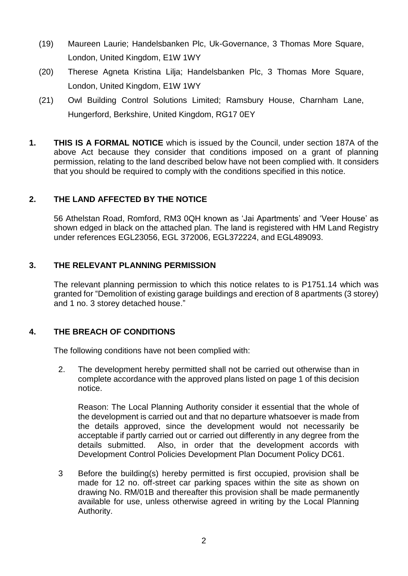- (19) Maureen Laurie; Handelsbanken Plc, Uk-Governance, 3 Thomas More Square, London, United Kingdom, E1W 1WY
- (20) Therese Agneta Kristina Lilja; Handelsbanken Plc, 3 Thomas More Square, London, United Kingdom, E1W 1WY
- (21) Owl Building Control Solutions Limited; Ramsbury House, Charnham Lane, Hungerford, Berkshire, United Kingdom, RG17 0EY
- **1. THIS IS A FORMAL NOTICE** which is issued by the Council, under section 187A of the above Act because they consider that conditions imposed on a grant of planning permission, relating to the land described below have not been complied with. It considers that you should be required to comply with the conditions specified in this notice.

# **2. THE LAND AFFECTED BY THE NOTICE**

 56 Athelstan Road, Romford, RM3 0QH known as 'Jai Apartments' and 'Veer House' as shown edged in black on the attached plan. The land is registered with HM Land Registry under references EGL23056, EGL 372006, EGL372224, and EGL489093.

## **3. THE RELEVANT PLANNING PERMISSION**

 The relevant planning permission to which this notice relates to is P1751.14 which was granted for "Demolition of existing garage buildings and erection of 8 apartments (3 storey) and 1 no. 3 storey detached house."

## **4. THE BREACH OF CONDITIONS**

The following conditions have not been complied with:

 2. The development hereby permitted shall not be carried out otherwise than in complete accordance with the approved plans listed on page 1 of this decision notice.

 Reason: The Local Planning Authority consider it essential that the whole of the development is carried out and that no departure whatsoever is made from the details approved, since the development would not necessarily be acceptable if partly carried out or carried out differently in any degree from the details submitted. Also, in order that the development accords with Development Control Policies Development Plan Document Policy DC61.

 3 Before the building(s) hereby permitted is first occupied, provision shall be made for 12 no. off-street car parking spaces within the site as shown on drawing No. RM/01B and thereafter this provision shall be made permanently available for use, unless otherwise agreed in writing by the Local Planning Authority.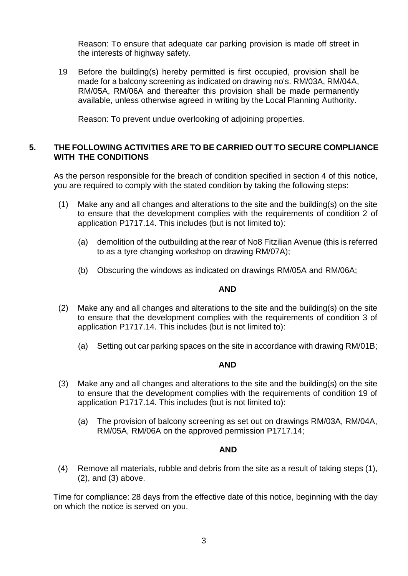Reason: To ensure that adequate car parking provision is made off street in the interests of highway safety.

 19 Before the building(s) hereby permitted is first occupied, provision shall be made for a balcony screening as indicated on drawing no's. RM/03A, RM/04A, RM/05A, RM/06A and thereafter this provision shall be made permanently available, unless otherwise agreed in writing by the Local Planning Authority.

Reason: To prevent undue overlooking of adjoining properties.

### **5. THE FOLLOWING ACTIVITIES ARE TO BE CARRIED OUT TO SECURE COMPLIANCE WITH THE CONDITIONS**

 As the person responsible for the breach of condition specified in section 4 of this notice, you are required to comply with the stated condition by taking the following steps:

- to ensure that the development complies with the requirements of condition 2 of (1) Make any and all changes and alterations to the site and the building(s) on the site application P1717.14. This includes (but is not limited to):
	- (a) demolition of the outbuilding at the rear of No8 Fitzilian Avenue (this is referred to as a tyre changing workshop on drawing RM/07A);
	- (b) Obscuring the windows as indicated on drawings RM/05A and RM/06A;

## **AND**

- to ensure that the development complies with the requirements of condition 3 of (2) Make any and all changes and alterations to the site and the building(s) on the site application P1717.14. This includes (but is not limited to):
	- (a) Setting out car parking spaces on the site in accordance with drawing RM/01B;

#### **AND**

- to ensure that the development complies with the requirements of condition 19 of (3) Make any and all changes and alterations to the site and the building(s) on the site application P1717.14. This includes (but is not limited to):
	- (a) The provision of balcony screening as set out on drawings RM/03A, RM/04A, RM/05A, RM/06A on the approved permission P1717.14;

#### **AND**

 (4) Remove all materials, rubble and debris from the site as a result of taking steps (1), (2), and (3) above.

 Time for compliance: 28 days from the effective date of this notice, beginning with the day on which the notice is served on you.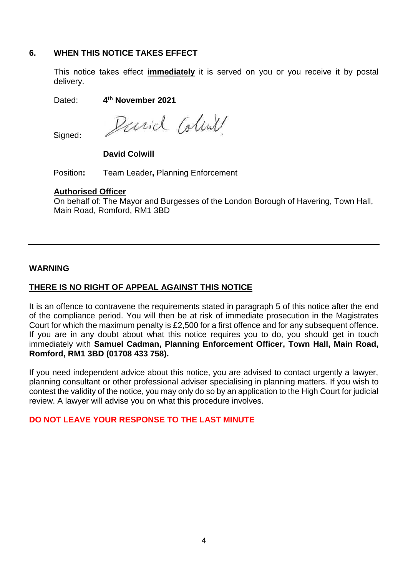### **6. WHEN THIS NOTICE TAKES EFFECT**

 This notice takes effect **immediately** it is served on you or you receive it by postal delivery.

Dated: **4th November 2021**

David Colink

Signed**:** 

**David Colwill** 

Position**:** Team Leader**,** Planning Enforcement

#### **Authorised Officer**

 On behalf of: The Mayor and Burgesses of the London Borough of Havering, Town Hall, Main Road, Romford, RM1 3BD

### **WARNING**

# **THERE IS NO RIGHT OF APPEAL AGAINST THIS NOTICE**

 It is an offence to contravene the requirements stated in paragraph 5 of this notice after the end of the compliance period. You will then be at risk of immediate prosecution in the Magistrates Court for which the maximum penalty is £2,500 for a first offence and for any subsequent offence. If you are in any doubt about what this notice requires you to do, you should get in touch immediately with **Samuel Cadman, Planning Enforcement Officer, Town Hall, Main Road, Romford, RM1 3BD (01708 433 758).** 

 If you need independent advice about this notice, you are advised to contact urgently a lawyer, planning consultant or other professional adviser specialising in planning matters. If you wish to contest the validity of the notice, you may only do so by an application to the High Court for judicial review. A lawyer will advise you on what this procedure involves.

## **DO NOT LEAVE YOUR RESPONSE TO THE LAST MINUTE**